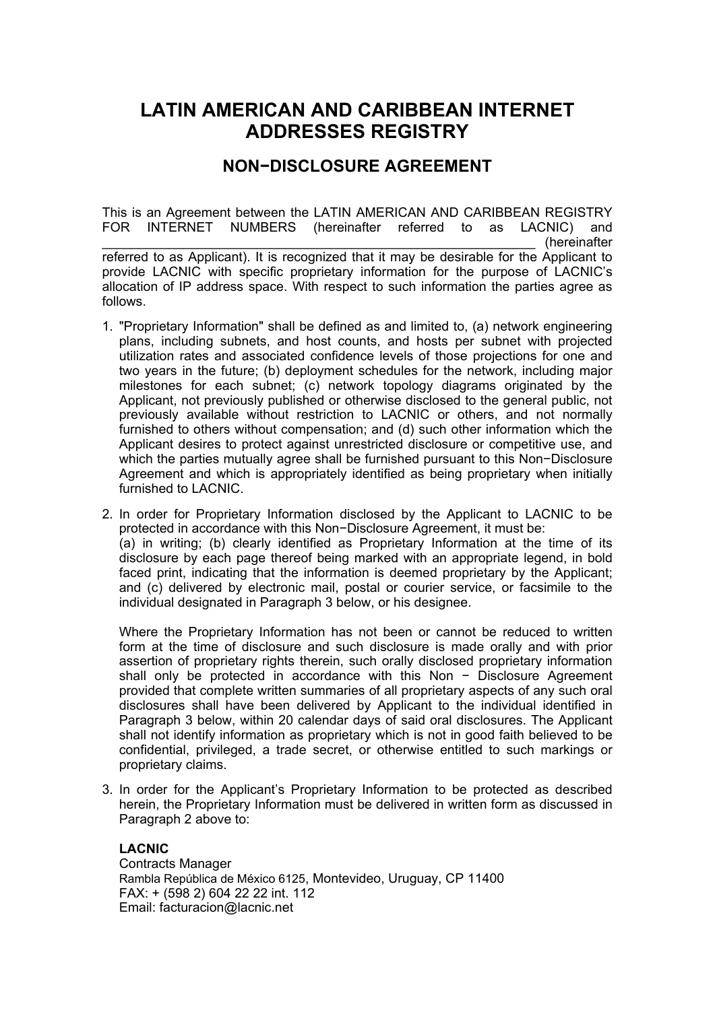## **LATIN AMERICAN AND CARIBBEAN INTERNET ADDRESSES REGISTRY**

## **NON−DISCLOSURE AGREEMENT**

This is an Agreement between the LATIN AMERICAN AND CARIBBEAN REGISTRY FOR INTERNET NUMBERS (hereinafter referred to as LACNIC) and \_\_\_\_\_\_\_\_\_\_\_\_\_\_\_\_\_\_\_\_\_\_\_\_\_\_\_\_\_\_\_\_\_\_\_\_\_\_\_\_\_\_\_\_\_\_\_\_\_\_\_\_\_\_\_\_\_\_\_ (hereinafter referred to as Applicant). It is recognized that it may be desirable for the Applicant to provide LACNIC with specific proprietary information for the purpose of LACNIC's allocation of IP address space. With respect to such information the parties agree as follows.

- 1. "Proprietary Information" shall be defined as and limited to, (a) network engineering plans, including subnets, and host counts, and hosts per subnet with projected utilization rates and associated confidence levels of those projections for one and two years in the future; (b) deployment schedules for the network, including major milestones for each subnet; (c) network topology diagrams originated by the Applicant, not previously published or otherwise disclosed to the general public, not previously available without restriction to LACNIC or others, and not normally furnished to others without compensation; and (d) such other information which the Applicant desires to protect against unrestricted disclosure or competitive use, and which the parties mutually agree shall be furnished pursuant to this Non−Disclosure Agreement and which is appropriately identified as being proprietary when initially furnished to LACNIC.
- 2. In order for Proprietary Information disclosed by the Applicant to LACNIC to be protected in accordance with this Non−Disclosure Agreement, it must be: (a) in writing; (b) clearly identified as Proprietary Information at the time of its disclosure by each page thereof being marked with an appropriate legend, in bold faced print, indicating that the information is deemed proprietary by the Applicant; and (c) delivered by electronic mail, postal or courier service, or facsimile to the individual designated in Paragraph 3 below, or his designee.

Where the Proprietary Information has not been or cannot be reduced to written form at the time of disclosure and such disclosure is made orally and with prior assertion of proprietary rights therein, such orally disclosed proprietary information shall only be protected in accordance with this Non − Disclosure Agreement provided that complete written summaries of all proprietary aspects of any such oral disclosures shall have been delivered by Applicant to the individual identified in Paragraph 3 below, within 20 calendar days of said oral disclosures. The Applicant shall not identify information as proprietary which is not in good faith believed to be confidential, privileged, a trade secret, or otherwise entitled to such markings or proprietary claims.

3. In order for the Applicant's Proprietary Information to be protected as described herein, the Proprietary Information must be delivered in written form as discussed in Paragraph 2 above to:

## **LACNIC**

Contracts Manager Rambla República de México 6125, Montevideo, Uruguay, CP 11400 FAX: + (598 2) 604 22 22 int. 112 Email: facturacion@lacnic.net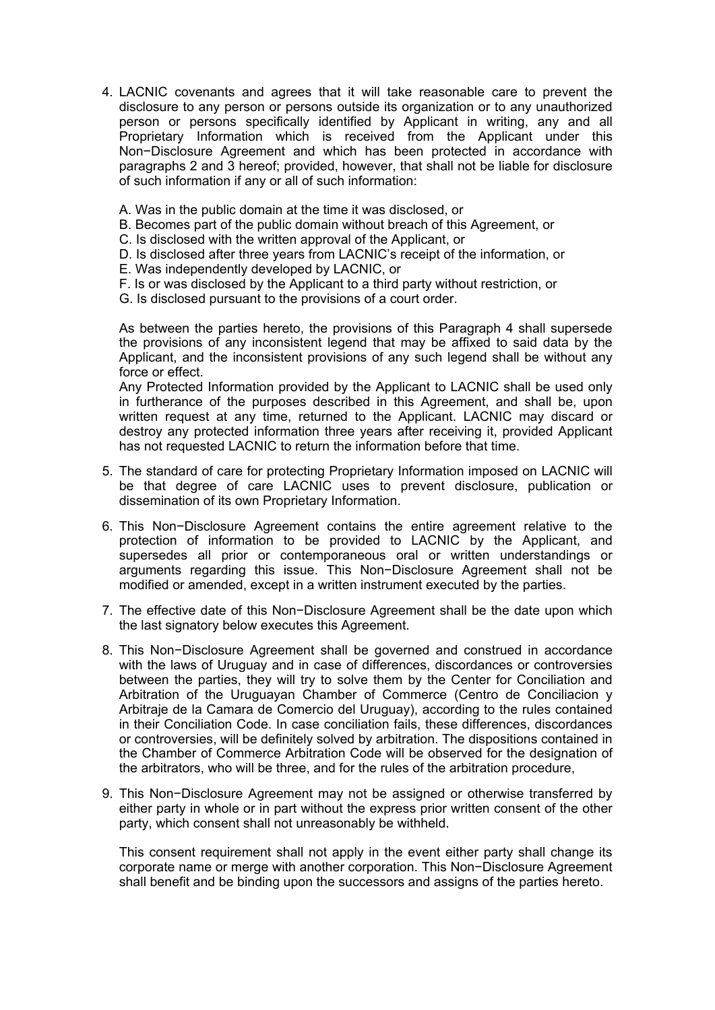- 4. LACNIC covenants and agrees that it will take reasonable care to prevent the disclosure to any person or persons outside its organization or to any unauthorized person or persons specifically identified by Applicant in writing, any and all Proprietary Information which is received from the Applicant under this Non−Disclosure Agreement and which has been protected in accordance with paragraphs 2 and 3 hereof; provided, however, that shall not be liable for disclosure of such information if any or all of such information:
	- A. Was in the public domain at the time it was disclosed, or
	- B. Becomes part of the public domain without breach of this Agreement, or
	- C. Is disclosed with the written approval of the Applicant, or
	- D. Is disclosed after three years from LACNIC's receipt of the information, or
	- E. Was independently developed by LACNIC, or
	- F. Is or was disclosed by the Applicant to a third party without restriction, or
	- G. Is disclosed pursuant to the provisions of a court order.

As between the parties hereto, the provisions of this Paragraph 4 shall supersede the provisions of any inconsistent legend that may be affixed to said data by the Applicant, and the inconsistent provisions of any such legend shall be without any force or effect.

Any Protected Information provided by the Applicant to LACNIC shall be used only in furtherance of the purposes described in this Agreement, and shall be, upon written request at any time, returned to the Applicant. LACNIC may discard or destroy any protected information three years after receiving it, provided Applicant has not requested LACNIC to return the information before that time.

- 5. The standard of care for protecting Proprietary Information imposed on LACNIC will be that degree of care LACNIC uses to prevent disclosure, publication or dissemination of its own Proprietary Information.
- 6. This Non−Disclosure Agreement contains the entire agreement relative to the protection of information to be provided to LACNIC by the Applicant, and supersedes all prior or contemporaneous oral or written understandings or arguments regarding this issue. This Non−Disclosure Agreement shall not be modified or amended, except in a written instrument executed by the parties.
- 7. The effective date of this Non−Disclosure Agreement shall be the date upon which the last signatory below executes this Agreement.
- 8. This Non−Disclosure Agreement shall be governed and construed in accordance with the laws of Uruguay and in case of differences, discordances or controversies between the parties, they will try to solve them by the Center for Conciliation and Arbitration of the Uruguayan Chamber of Commerce (Centro de Conciliacion y Arbitraje de la Camara de Comercio del Uruguay), according to the rules contained in their Conciliation Code. In case conciliation fails, these differences, discordances or controversies, will be definitely solved by arbitration. The dispositions contained in the Chamber of Commerce Arbitration Code will be observed for the designation of the arbitrators, who will be three, and for the rules of the arbitration procedure,
- 9. This Non−Disclosure Agreement may not be assigned or otherwise transferred by either party in whole or in part without the express prior written consent of the other party, which consent shall not unreasonably be withheld.

This consent requirement shall not apply in the event either party shall change its corporate name or merge with another corporation. This Non−Disclosure Agreement shall benefit and be binding upon the successors and assigns of the parties hereto.